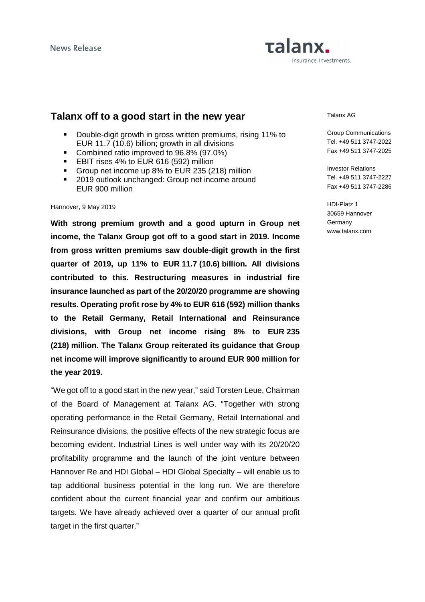# Talanx. Insurance. Investments.

# **Talanx off to a good start in the new year**

- Double-digit growth in gross written premiums, rising 11% to EUR 11.7 (10.6) billion; growth in all divisions
- Combined ratio improved to 96.8% (97.0%)
- **EBIT rises 4% to EUR 616 (592) million**
- Group net income up 8% to EUR 235 (218) million
- **2019 outlook unchanged: Group net income around** EUR 900 million

#### Hannover, 9 May 2019

**With strong premium growth and a good upturn in Group net income, the Talanx Group got off to a good start in 2019. Income from gross written premiums saw double-digit growth in the first quarter of 2019, up 11% to EUR 11.7 (10.6) billion. All divisions contributed to this. Restructuring measures in industrial fire insurance launched as part of the 20/20/20 programme are showing results. Operating profit rose by 4% to EUR 616 (592) million thanks to the Retail Germany, Retail International and Reinsurance divisions, with Group net income rising 8% to EUR 235 (218) million. The Talanx Group reiterated its guidance that Group net income will improve significantly to around EUR 900 million for the year 2019.** 

"We got off to a good start in the new year," said Torsten Leue, Chairman of the Board of Management at Talanx AG. "Together with strong operating performance in the Retail Germany, Retail International and Reinsurance divisions, the positive effects of the new strategic focus are becoming evident. Industrial Lines is well under way with its 20/20/20 profitability programme and the launch of the joint venture between Hannover Re and HDI Global – HDI Global Specialty – will enable us to tap additional business potential in the long run. We are therefore confident about the current financial year and confirm our ambitious targets. We have already achieved over a quarter of our annual profit target in the first quarter."

Talanx AG

Group Communications Tel. +49 511 3747-2022 Fax +49 511 3747-2025

Investor Relations Tel. +49 511 3747-2227 Fax +49 511 3747-2286

HDI-Platz 1 30659 Hannover **Germany** www.talanx.com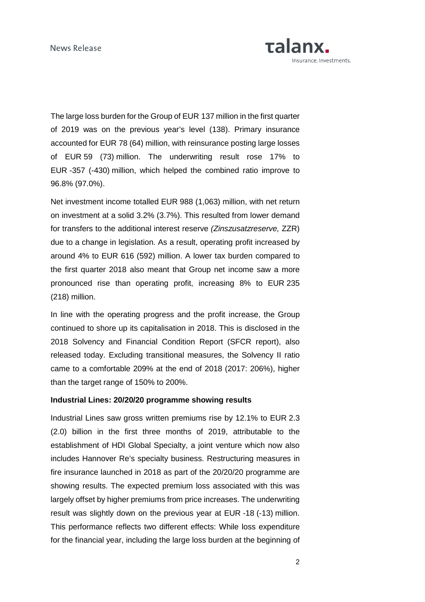

The large loss burden for the Group of EUR 137 million in the first quarter of 2019 was on the previous year's level (138). Primary insurance accounted for EUR 78 (64) million, with reinsurance posting large losses of EUR 59 (73) million. The underwriting result rose 17% to EUR -357 (-430) million, which helped the combined ratio improve to 96.8% (97.0%).

Net investment income totalled EUR 988 (1,063) million, with net return on investment at a solid 3.2% (3.7%). This resulted from lower demand for transfers to the additional interest reserve (Zinszusatzreserve, ZZR) due to a change in legislation. As a result, operating profit increased by around 4% to EUR 616 (592) million. A lower tax burden compared to the first quarter 2018 also meant that Group net income saw a more pronounced rise than operating profit, increasing 8% to EUR 235 (218) million.

In line with the operating progress and the profit increase, the Group continued to shore up its capitalisation in 2018. This is disclosed in the 2018 Solvency and Financial Condition Report (SFCR report), also released today. Excluding transitional measures, the Solvency II ratio came to a comfortable 209% at the end of 2018 (2017: 206%), higher than the target range of 150% to 200%.

### **Industrial Lines: 20/20/20 programme showing results**

Industrial Lines saw gross written premiums rise by 12.1% to EUR 2.3 (2.0) billion in the first three months of 2019, attributable to the establishment of HDI Global Specialty, a joint venture which now also includes Hannover Re's specialty business. Restructuring measures in fire insurance launched in 2018 as part of the 20/20/20 programme are showing results. The expected premium loss associated with this was largely offset by higher premiums from price increases. The underwriting result was slightly down on the previous year at EUR -18 (-13) million. This performance reflects two different effects: While loss expenditure for the financial year, including the large loss burden at the beginning of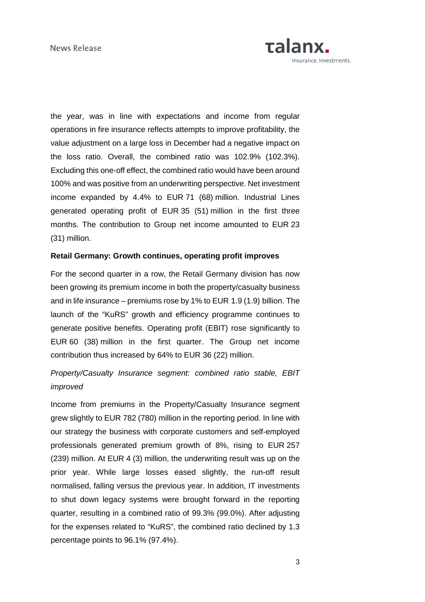

the year, was in line with expectations and income from regular operations in fire insurance reflects attempts to improve profitability, the value adjustment on a large loss in December had a negative impact on the loss ratio. Overall, the combined ratio was 102.9% (102.3%). Excluding this one-off effect, the combined ratio would have been around 100% and was positive from an underwriting perspective. Net investment income expanded by 4.4% to EUR 71 (68) million. Industrial Lines generated operating profit of EUR 35 (51) million in the first three months. The contribution to Group net income amounted to EUR 23 (31) million.

### **Retail Germany: Growth continues, operating profit improves**

For the second quarter in a row, the Retail Germany division has now been growing its premium income in both the property/casualty business and in life insurance – premiums rose by 1% to EUR 1.9 (1.9) billion. The launch of the "KuRS" growth and efficiency programme continues to generate positive benefits. Operating profit (EBIT) rose significantly to EUR 60 (38) million in the first quarter. The Group net income contribution thus increased by 64% to EUR 36 (22) million.

# Property/Casualty Insurance segment: combined ratio stable, EBIT improved

Income from premiums in the Property/Casualty Insurance segment grew slightly to EUR 782 (780) million in the reporting period. In line with our strategy the business with corporate customers and self-employed professionals generated premium growth of 8%, rising to EUR 257 (239) million. At EUR 4 (3) million, the underwriting result was up on the prior year. While large losses eased slightly, the run-off result normalised, falling versus the previous year. In addition, IT investments to shut down legacy systems were brought forward in the reporting quarter, resulting in a combined ratio of 99.3% (99.0%). After adjusting for the expenses related to "KuRS", the combined ratio declined by 1.3 percentage points to 96.1% (97.4%).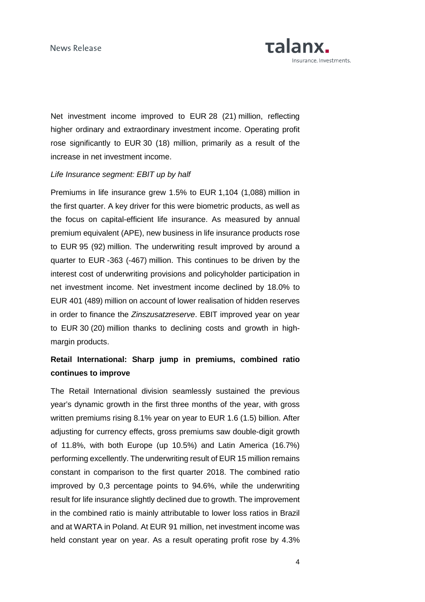

Net investment income improved to EUR 28 (21) million, reflecting higher ordinary and extraordinary investment income. Operating profit rose significantly to EUR 30 (18) million, primarily as a result of the increase in net investment income.

#### Life Insurance segment: EBIT up by half

Premiums in life insurance grew 1.5% to EUR 1,104 (1,088) million in the first quarter. A key driver for this were biometric products, as well as the focus on capital-efficient life insurance. As measured by annual premium equivalent (APE), new business in life insurance products rose to EUR 95 (92) million. The underwriting result improved by around a quarter to EUR -363 (-467) million. This continues to be driven by the interest cost of underwriting provisions and policyholder participation in net investment income. Net investment income declined by 18.0% to EUR 401 (489) million on account of lower realisation of hidden reserves in order to finance the Zinszusatzreserve. EBIT improved year on year to EUR 30 (20) million thanks to declining costs and growth in highmargin products.

# **Retail International: Sharp jump in premiums, combined ratio continues to improve**

The Retail International division seamlessly sustained the previous year's dynamic growth in the first three months of the year, with gross written premiums rising 8.1% year on year to EUR 1.6 (1.5) billion. After adjusting for currency effects, gross premiums saw double-digit growth of 11.8%, with both Europe (up 10.5%) and Latin America (16.7%) performing excellently. The underwriting result of EUR 15 million remains constant in comparison to the first quarter 2018. The combined ratio improved by 0,3 percentage points to 94.6%, while the underwriting result for life insurance slightly declined due to growth. The improvement in the combined ratio is mainly attributable to lower loss ratios in Brazil and at WARTA in Poland. At EUR 91 million, net investment income was held constant year on year. As a result operating profit rose by 4.3%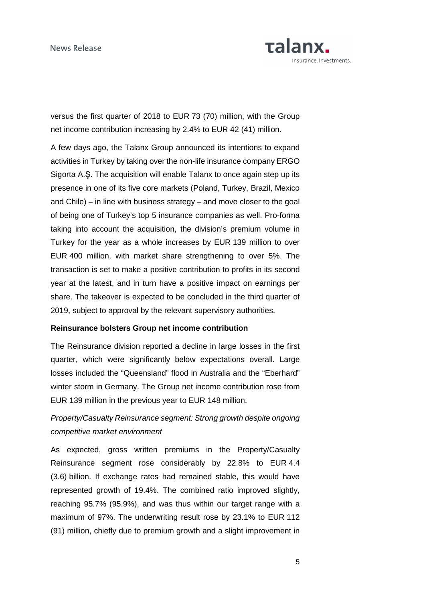

versus the first quarter of 2018 to EUR 73 (70) million, with the Group net income contribution increasing by 2.4% to EUR 42 (41) million.

A few days ago, the Talanx Group announced its intentions to expand activities in Turkey by taking over the non-life insurance company ERGO Sigorta A.Ş. The acquisition will enable Talanx to once again step up its presence in one of its five core markets (Poland, Turkey, Brazil, Mexico and Chile)  $-$  in line with business strategy  $-$  and move closer to the goal of being one of Turkey's top 5 insurance companies as well. Pro-forma taking into account the acquisition, the division's premium volume in Turkey for the year as a whole increases by EUR 139 million to over EUR 400 million, with market share strengthening to over 5%. The transaction is set to make a positive contribution to profits in its second year at the latest, and in turn have a positive impact on earnings per share. The takeover is expected to be concluded in the third quarter of 2019, subject to approval by the relevant supervisory authorities.

### **Reinsurance bolsters Group net income contribution**

The Reinsurance division reported a decline in large losses in the first quarter, which were significantly below expectations overall. Large losses included the "Queensland" flood in Australia and the "Eberhard" winter storm in Germany. The Group net income contribution rose from EUR 139 million in the previous year to EUR 148 million.

# Property/Casualty Reinsurance segment: Strong growth despite ongoing competitive market environment

As expected, gross written premiums in the Property/Casualty Reinsurance segment rose considerably by 22.8% to EUR 4.4 (3.6) billion. If exchange rates had remained stable, this would have represented growth of 19.4%. The combined ratio improved slightly, reaching 95.7% (95.9%), and was thus within our target range with a maximum of 97%. The underwriting result rose by 23.1% to EUR 112 (91) million, chiefly due to premium growth and a slight improvement in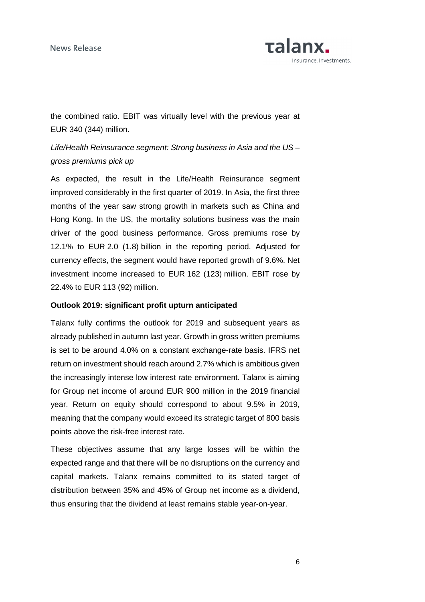

the combined ratio. EBIT was virtually level with the previous year at EUR 340 (344) million.

# Life/Health Reinsurance segment: Strong business in Asia and the US – gross premiums pick up

As expected, the result in the Life/Health Reinsurance segment improved considerably in the first quarter of 2019. In Asia, the first three months of the year saw strong growth in markets such as China and Hong Kong. In the US, the mortality solutions business was the main driver of the good business performance. Gross premiums rose by 12.1% to EUR 2.0 (1.8) billion in the reporting period. Adjusted for currency effects, the segment would have reported growth of 9.6%. Net investment income increased to EUR 162 (123) million. EBIT rose by 22.4% to EUR 113 (92) million.

### **Outlook 2019: significant profit upturn anticipated**

Talanx fully confirms the outlook for 2019 and subsequent years as already published in autumn last year. Growth in gross written premiums is set to be around 4.0% on a constant exchange-rate basis. IFRS net return on investment should reach around 2.7% which is ambitious given the increasingly intense low interest rate environment. Talanx is aiming for Group net income of around EUR 900 million in the 2019 financial year. Return on equity should correspond to about 9.5% in 2019, meaning that the company would exceed its strategic target of 800 basis points above the risk-free interest rate.

These objectives assume that any large losses will be within the expected range and that there will be no disruptions on the currency and capital markets. Talanx remains committed to its stated target of distribution between 35% and 45% of Group net income as a dividend, thus ensuring that the dividend at least remains stable year-on-year.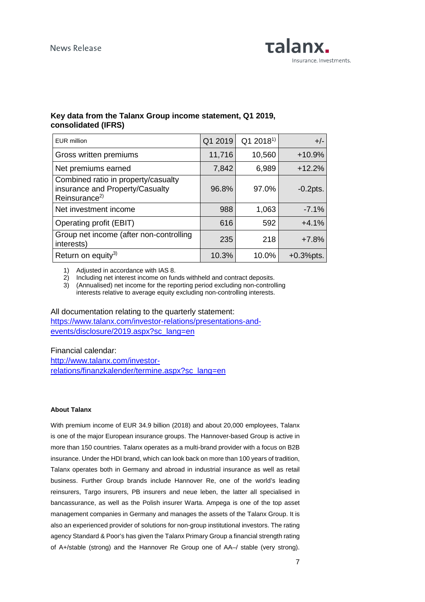

## **Key data from the Talanx Group income statement, Q1 2019, consolidated (IFRS)**

| <b>EUR million</b>                                                                                  | Q1 2019 | Q1 2018 <sup>1)</sup> | $+/-$        |
|-----------------------------------------------------------------------------------------------------|---------|-----------------------|--------------|
| Gross written premiums                                                                              | 11,716  | 10,560                | $+10.9%$     |
| Net premiums earned                                                                                 | 7,842   | 6,989                 | $+12.2%$     |
| Combined ratio in property/casualty<br>insurance and Property/Casualty<br>Reinsurance <sup>2)</sup> | 96.8%   | 97.0%                 | $-0.2$ pts.  |
| Net investment income                                                                               | 988     | 1,063                 | $-7.1%$      |
| Operating profit (EBIT)                                                                             | 616     | 592                   | $+4.1%$      |
| Group net income (after non-controlling<br>interests)                                               | 235     | 218                   | $+7.8%$      |
| Return on equity <sup>3)</sup>                                                                      | 10.3%   | 10.0%                 | $+0.3%$ pts. |

1) Adjusted in accordance with IAS 8.

2) Including net interest income on funds withheld and contract deposits.

3) (Annualised) net income for the reporting period excluding non-controlling interests relative to average equity excluding non-controlling interests.

#### All documentation relating to the quarterly statement:

https://www.talanx.com/investor-relations/presentations-andevents/disclosure/2019.aspx?sc\_lang=en

Financial calendar:

http://www.talanx.com/investorrelations/finanzkalender/termine.aspx?sc\_lang=en

#### **About Talanx**

With premium income of EUR 34.9 billion (2018) and about 20,000 employees, Talanx is one of the major European insurance groups. The Hannover-based Group is active in more than 150 countries. Talanx operates as a multi-brand provider with a focus on B2B insurance. Under the HDI brand, which can look back on more than 100 years of tradition, Talanx operates both in Germany and abroad in industrial insurance as well as retail business. Further Group brands include Hannover Re, one of the world's leading reinsurers, Targo insurers, PB insurers and neue leben, the latter all specialised in bancassurance, as well as the Polish insurer Warta. Ampega is one of the top asset management companies in Germany and manages the assets of the Talanx Group. It is also an experienced provider of solutions for non-group institutional investors. The rating agency Standard & Poor's has given the Talanx Primary Group a financial strength rating of A+/stable (strong) and the Hannover Re Group one of AA–/ stable (very strong).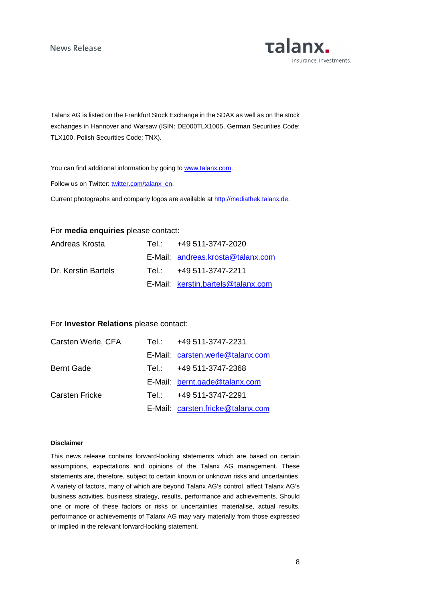**Talanx.** Insurance. Investments.

Talanx AG is listed on the Frankfurt Stock Exchange in the SDAX as well as on the stock exchanges in Hannover and Warsaw (ISIN: DE000TLX1005, German Securities Code: TLX100, Polish Securities Code: TNX).

You can find additional information by going to www.talanx.com.

Follow us on Twitter: twitter.com/talanx\_en.

Current photographs and company logos are available at http://mediathek.talanx.de.

### For **media enquiries** please contact:

| Andreas Krosta      | Tel.: +49 511-3747-2020            |
|---------------------|------------------------------------|
|                     | E-Mail: andreas.krosta@talanx.com  |
| Dr. Kerstin Bartels | Tel.: $+49.511 - 3747 - 2211$      |
|                     | E-Mail: kerstin.bartels@talanx.com |

### For **Investor Relations** please contact:

| Carsten Werle, CFA    | Tel.: +49 511-3747-2231           |
|-----------------------|-----------------------------------|
|                       | E-Mail: carsten.werle@talanx.com  |
| <b>Bernt Gade</b>     | Tel.: +49 511-3747-2368           |
|                       | E-Mail: bernt.gade@talanx.com     |
| <b>Carsten Fricke</b> | Tel.: +49 511-3747-2291           |
|                       | E-Mail: carsten.fricke@talanx.com |

#### **Disclaimer**

This news release contains forward-looking statements which are based on certain assumptions, expectations and opinions of the Talanx AG management. These statements are, therefore, subject to certain known or unknown risks and uncertainties. A variety of factors, many of which are beyond Talanx AG's control, affect Talanx AG's business activities, business strategy, results, performance and achievements. Should one or more of these factors or risks or uncertainties materialise, actual results, performance or achievements of Talanx AG may vary materially from those expressed or implied in the relevant forward-looking statement.